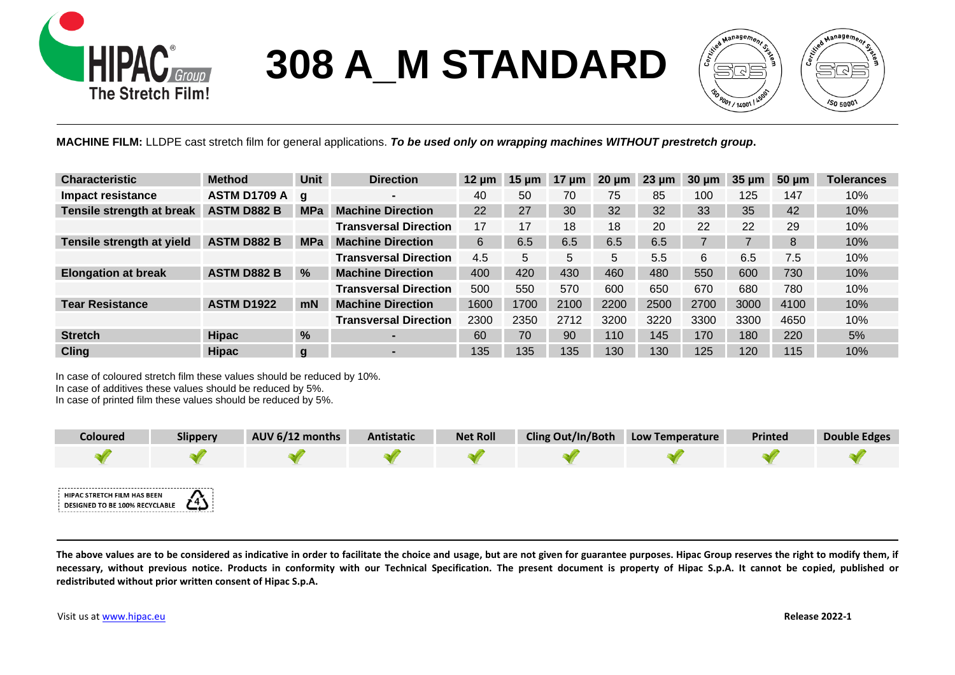

## **308 A\_M STANDARD**



I **MACHINE FILM:** LLDPE cast stretch film for general applications. *To be used only on wrapping machines WITHOUT prestretch group***.**

| <b>Characteristic</b>      | <b>Method</b>       | <b>Unit</b>   | <b>Direction</b>             | $12 \text{ µm}$ | $15 \mu m$ | 17<br><b>um</b> | $20 \mu m$ | $23 \mu m$ | $30 \mu m$ | $35 \mu m$ | $50 \mu m$ | <b>Tolerances</b> |
|----------------------------|---------------------|---------------|------------------------------|-----------------|------------|-----------------|------------|------------|------------|------------|------------|-------------------|
| Impact resistance          | <b>ASTM D1709 A</b> | g             |                              | 40              | 50         | 70              | 75         | 85         | 100        | 125        | 147        | 10%               |
| Tensile strength at break  | <b>ASTM D882 B</b>  | <b>MPa</b>    | <b>Machine Direction</b>     | 22              | 27         | 30              | 32         | 32         | 33         | 35         | 42         | 10%               |
|                            |                     |               | <b>Transversal Direction</b> | 17              | 17         | 18              | 18         | 20         | 22         | 22         | 29         | 10%               |
| Tensile strength at yield  | <b>ASTM D882 B</b>  | <b>MPa</b>    | <b>Machine Direction</b>     | 6               | 6.5        | 6.5             | 6.5        | 6.5        |            |            | 8          | 10%               |
|                            |                     |               | <b>Transversal Direction</b> | 4.5             | 5          | 5               | 5          | 5.5        | 6          | 6.5        | 7.5        | 10%               |
| <b>Elongation at break</b> | <b>ASTM D882 B</b>  | $\%$          | <b>Machine Direction</b>     | 400             | 420        | 430             | 460        | 480        | 550        | 600        | 730        | 10%               |
|                            |                     |               | <b>Transversal Direction</b> | 500             | 550        | 570             | 600        | 650        | 670        | 680        | 780        | 10%               |
| <b>Tear Resistance</b>     | <b>ASTM D1922</b>   | mN            | <b>Machine Direction</b>     | 1600            | 1700       | 2100            | 2200       | 2500       | 2700       | 3000       | 4100       | 10%               |
|                            |                     |               | <b>Transversal Direction</b> | 2300            | 2350       | 2712            | 3200       | 3220       | 3300       | 3300       | 4650       | 10%               |
| <b>Stretch</b>             | <b>Hipac</b>        | $\frac{9}{6}$ | ۳.                           | 60              | 70         | 90              | 110        | 145        | 170        | 180        | 220        | 5%                |
| <b>Cling</b>               | <b>Hipac</b>        | g             |                              | 135             | 135        | 135             | 130        | 130        | 125        | 120        | 115        | 10%               |

In case of coloured stretch film these values should be reduced by 10%. In case of additives these values should be reduced by 5%.

In case of printed film these values should be reduced by 5%.

| <b>Coloured</b>                                               | <b>Slippery</b> | AUV 6/12 months | Antistatic | <b>Net Roll</b> | <b>Cling Out/In/Both</b> | <b>Low Temperature</b> | <b>Printed</b> | <b>Double Edges</b> |
|---------------------------------------------------------------|-----------------|-----------------|------------|-----------------|--------------------------|------------------------|----------------|---------------------|
|                                                               |                 |                 |            |                 |                          |                        |                |                     |
| HIPAC STRETCH FILM HAS BEEN<br>DESIGNED TO BE 100% RECYCLABLE | دیے             |                 |            |                 |                          |                        |                |                     |

The above values are to be considered as indicative in order to facilitate the choice and usage, but are not given for guarantee purposes. Hipac Group reserves the right to modify them, if **necessary, without previous notice. Products in conformity with our Technical Specification. The present document is property of Hipac S.p.A. It cannot be copied, published or redistributed without prior written consent of Hipac S.p.A.**